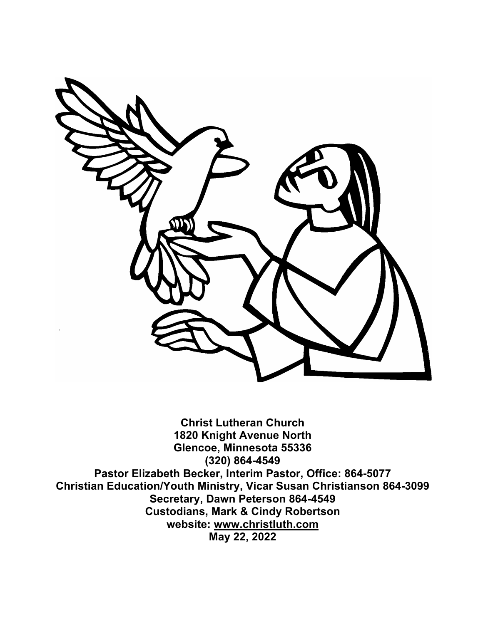

**Christ Lutheran Church 1820 Knight Avenue North Glencoe, Minnesota 55336 (320) 864-4549 Pastor Elizabeth Becker, Interim Pastor, Office: 864-5077 Christian Education/Youth Ministry, Vicar Susan Christianson 864-3099 Secretary, Dawn Peterson 864-4549 Custodians, Mark & Cindy Robertson website: www.christluth.com May 22, 2022**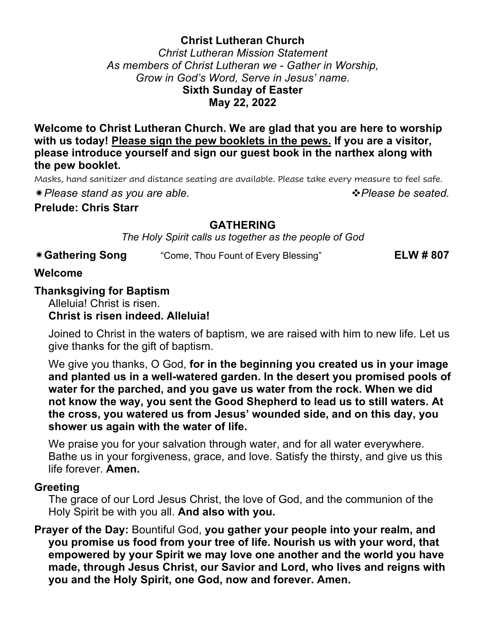#### **Christ Lutheran Church**

*Christ Lutheran Mission Statement As members of Christ Lutheran we - Gather in Worship, Grow in God's Word, Serve in Jesus' name.* **Sixth Sunday of Easter May 22, 2022**

**Welcome to Christ Lutheran Church. We are glad that you are here to worship with us today! Please sign the pew booklets in the pews. If you are a visitor, please introduce yourself and sign our guest book in the narthex along with the pew booklet.**

Masks, hand sanitizer and distance seating are available. Please take every measure to feel safe.

ï*Please stand as you are able.* v*Please be seated.* 

**Prelude: Chris Starr**

### **GATHERING**

*The Holy Spirit calls us together as the people of God*

| <b>*Gathering Song</b> | "Come, Thou Fount of Every Blessing" | <b>ELW #807</b> |
|------------------------|--------------------------------------|-----------------|
|------------------------|--------------------------------------|-----------------|

#### **Welcome**

#### **Thanksgiving for Baptism**

Alleluia! Christ is risen.

### **Christ is risen indeed. Alleluia!**

Joined to Christ in the waters of baptism, we are raised with him to new life. Let us give thanks for the gift of baptism.

We give you thanks, O God, **for in the beginning you created us in your image and planted us in a well-watered garden. In the desert you promised pools of water for the parched, and you gave us water from the rock. When we did not know the way, you sent the Good Shepherd to lead us to still waters. At the cross, you watered us from Jesus' wounded side, and on this day, you shower us again with the water of life.**

We praise you for your salvation through water, and for all water everywhere. Bathe us in your forgiveness, grace, and love. Satisfy the thirsty, and give us this life forever. **Amen.**

#### **Greeting**

The grace of our Lord Jesus Christ, the love of God, and the communion of the Holy Spirit be with you all. **And also with you.**

**Prayer of the Day:** Bountiful God, **you gather your people into your realm, and you promise us food from your tree of life. Nourish us with your word, that empowered by your Spirit we may love one another and the world you have made, through Jesus Christ, our Savior and Lord, who lives and reigns with you and the Holy Spirit, one God, now and forever. Amen.**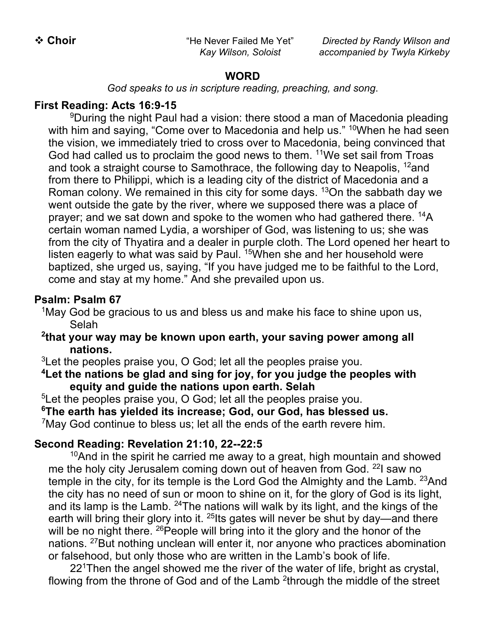\* Choir **Act Act Act Act Act Act Act Act Act** Alever Failed Me Yet" *Directed by Randy Wilson and Kay Wilson, Soloist accompanied by Twyla Kirkeby*

#### **WORD**

*God speaks to us in scripture reading, preaching, and song*.

## **First Reading: Acts 16:9-15**

<sup>9</sup>During the night Paul had a vision: there stood a man of Macedonia pleading with him and saying, "Come over to Macedonia and help us." <sup>10</sup>When he had seen the vision, we immediately tried to cross over to Macedonia, being convinced that God had called us to proclaim the good news to them. <sup>11</sup>We set sail from Troas and took a straight course to Samothrace, the following day to Neapolis,  $12$  and from there to Philippi, which is a leading city of the district of Macedonia and a Roman colony. We remained in this city for some days.  $13$ On the sabbath day we went outside the gate by the river, where we supposed there was a place of prayer; and we sat down and spoke to the women who had gathered there. <sup>14</sup>A certain woman named Lydia, a worshiper of God, was listening to us; she was from the city of Thyatira and a dealer in purple cloth. The Lord opened her heart to listen eagerly to what was said by Paul. <sup>15</sup>When she and her household were baptized, she urged us, saying, "If you have judged me to be faithful to the Lord, come and stay at my home." And she prevailed upon us.

### **Psalm: Psalm 67**

<sup>1</sup>May God be gracious to us and bless us and make his face to shine upon us, Selah

**2 that your way may be known upon earth, your saving power among all nations.**

 $3$ Let the peoples praise you, O God; let all the peoples praise you.

**4 Let the nations be glad and sing for joy, for you judge the peoples with equity and guide the nations upon earth. Selah**

<sup>5</sup>Let the peoples praise you, O God; let all the peoples praise you.

**6 The earth has yielded its increase; God, our God, has blessed us.**

 $7$ May God continue to bless us; let all the ends of the earth revere him.

## **Second Reading: Revelation 21:10, 22--22:5**

 $10$ And in the spirit he carried me away to a great, high mountain and showed me the holy city Jerusalem coming down out of heaven from God. <sup>22</sup>I saw no temple in the city, for its temple is the Lord God the Almighty and the Lamb. <sup>23</sup>And the city has no need of sun or moon to shine on it, for the glory of God is its light, and its lamp is the Lamb. 24The nations will walk by its light, and the kings of the earth will bring their glory into it. <sup>25</sup>lts gates will never be shut by day—and there will be no night there. <sup>26</sup> People will bring into it the glory and the honor of the nations. <sup>27</sup>But nothing unclean will enter it, nor anyone who practices abomination or falsehood, but only those who are written in the Lamb's book of life.

22<sup>1</sup>Then the angel showed me the river of the water of life, bright as crystal, flowing from the throne of God and of the Lamb <sup>2</sup>through the middle of the street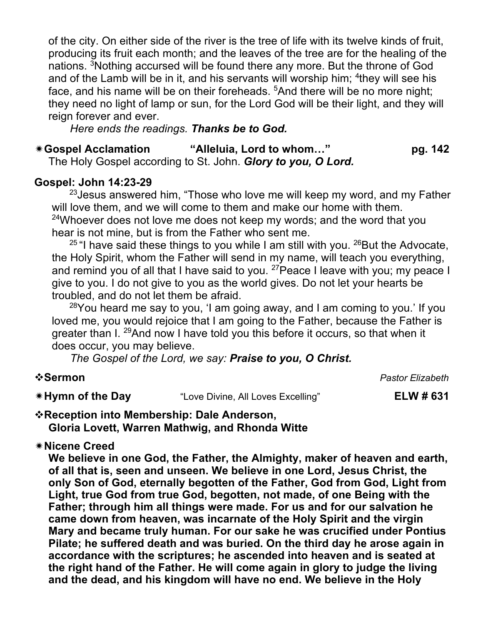of the city. On either side of the river is the tree of life with its twelve kinds of fruit, producing its fruit each month; and the leaves of the tree are for the healing of the nations. <sup>3</sup>Nothing accursed will be found there any more. But the throne of God and of the Lamb will be in it, and his servants will worship him; <sup>4</sup>they will see his face, and his name will be on their foreheads. <sup>5</sup>And there will be no more night; they need no light of lamp or sun, for the Lord God will be their light, and they will reign forever and ever.

*Here ends the readings. Thanks be to God.*

## ï**Gospel Acclamation "Alleluia, Lord to whom…" pg. 142**

The Holy Gospel according to St. John. *Glory to you, O Lord.*

#### **Gospel: John 14:23-29**

 $23$  Jesus answered him, "Those who love me will keep my word, and my Father will love them, and we will come to them and make our home with them.  $24$ Whoever does not love me does not keep my words; and the word that you hear is not mine, but is from the Father who sent me.

 $25$  "I have said these things to you while I am still with you.  $26$ But the Advocate, the Holy Spirit, whom the Father will send in my name, will teach you everything, and remind you of all that I have said to you.  $27$  Peace I leave with you; my peace I give to you. I do not give to you as the world gives. Do not let your hearts be troubled, and do not let them be afraid.

 $28$ You heard me say to you, 'I am going away, and I am coming to you.' If you loved me, you would rejoice that I am going to the Father, because the Father is greater than I. 29And now I have told you this before it occurs, so that when it does occur, you may believe.

*The Gospel of the Lord, we say: Praise to you, O Christ.*

v**Sermon** *Pastor Elizabeth*

**We Hymn of the Day** "Love Divine, All Loves Excelling" **ELW # 631** 

### v**Reception into Membership: Dale Anderson, Gloria Lovett, Warren Mathwig, and Rhonda Witte**

## ï**Nicene Creed**

**We believe in one God, the Father, the Almighty, maker of heaven and earth, of all that is, seen and unseen. We believe in one Lord, Jesus Christ, the only Son of God, eternally begotten of the Father, God from God, Light from Light, true God from true God, begotten, not made, of one Being with the Father; through him all things were made. For us and for our salvation he came down from heaven, was incarnate of the Holy Spirit and the virgin Mary and became truly human. For our sake he was crucified under Pontius Pilate; he suffered death and was buried. On the third day he arose again in accordance with the scriptures; he ascended into heaven and is seated at the right hand of the Father. He will come again in glory to judge the living and the dead, and his kingdom will have no end. We believe in the Holy**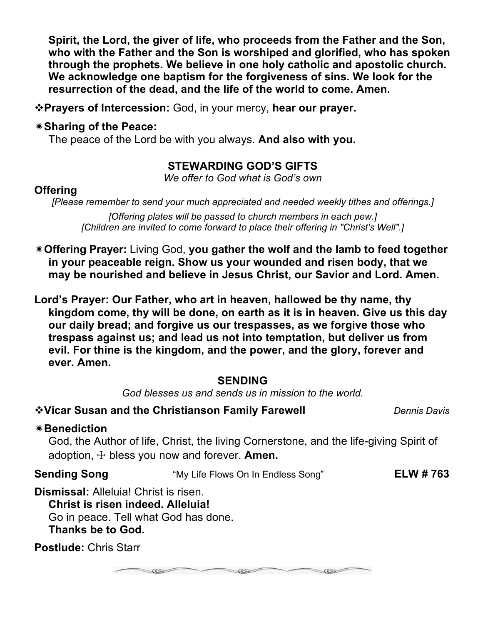**Spirit, the Lord, the giver of life, who proceeds from the Father and the Son, who with the Father and the Son is worshiped and glorified, who has spoken through the prophets. We believe in one holy catholic and apostolic church. We acknowledge one baptism for the forgiveness of sins. We look for the resurrection of the dead, and the life of the world to come. Amen.**

v**Prayers of Intercession:** God, in your mercy, **hear our prayer.**

#### ï**Sharing of the Peace:**

The peace of the Lord be with you always. **And also with you.** 

## **STEWARDING GOD'S GIFTS**

*We offer to God what is God's own*

#### **Offering**

*[Please remember to send your much appreciated and needed weekly tithes and offerings.]*

*[Offering plates will be passed to church members in each pew.] [Children are invited to come forward to place their offering in "Christ's Well".]*

- ï**Offering Prayer:** Living God, **you gather the wolf and the lamb to feed together in your peaceable reign. Show us your wounded and risen body, that we may be nourished and believe in Jesus Christ, our Savior and Lord. Amen.**
- **Lord's Prayer: Our Father, who art in heaven, hallowed be thy name, thy kingdom come, thy will be done, on earth as it is in heaven. Give us this day our daily bread; and forgive us our trespasses, as we forgive those who trespass against us; and lead us not into temptation, but deliver us from evil. For thine is the kingdom, and the power, and the glory, forever and ever. Amen.**

#### **SENDING**

*God blesses us and sends us in mission to the world.*

**\*Vicar Susan and the Christianson Family Farewell** *Dennis Davis* 

#### ï**Benediction**

God, the Author of life, Christ, the living Cornerstone, and the life-giving Spirit of adoption, ☩ bless you now and forever. **Amen.**

**Sending Song** "My Life Flows On In Endless Song" **ELW # 763**

**Dismissal:** Alleluia! Christ is risen. **Christ is risen indeed. Alleluia!**

Go in peace. Tell what God has done. **Thanks be to God.**

**Postlude:** Chris Starr

 $-002$  $\infty$ 

cos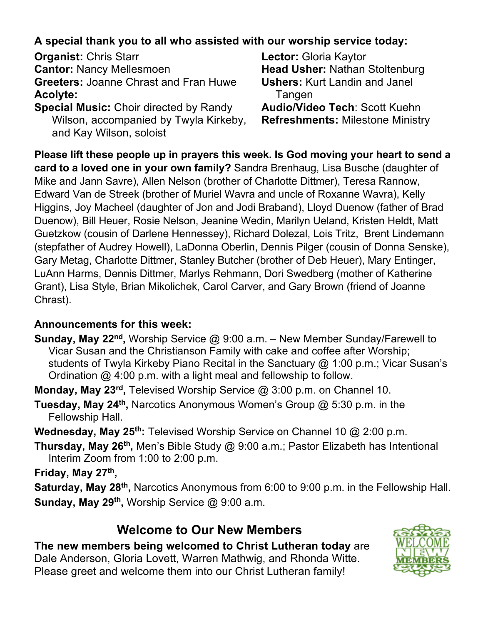## **A special thank you to all who assisted with our worship service today:**

**Organist:** Chris Starr **Lector:** Gloria Kaytor **Cantor:** Nancy Mellesmoen **Head Usher:** Nathan Stoltenburg **Greeters:** Joanne Chrast and Fran Huwe **Ushers:** Kurt Landin and Janel Acolyte: Tangen

Wilson, accompanied by Twyla Kirkeby, **Refreshments:** Milestone Ministry and Kay Wilson, soloist

**Special Music:** Choir directed by Randy **Audio/Video Tech**: Scott Kuehn

**Please lift these people up in prayers this week. Is God moving your heart to send a card to a loved one in your own family?** Sandra Brenhaug, Lisa Busche (daughter of Mike and Jann Savre), Allen Nelson (brother of Charlotte Dittmer), Teresa Rannow, Edward Van de Streek (brother of Muriel Wavra and uncle of Roxanne Wavra), Kelly Higgins, Joy Macheel (daughter of Jon and Jodi Braband), Lloyd Duenow (father of Brad Duenow), Bill Heuer, Rosie Nelson, Jeanine Wedin, Marilyn Ueland, Kristen Heldt, Matt Guetzkow (cousin of Darlene Hennessey), Richard Dolezal, Lois Tritz, Brent Lindemann (stepfather of Audrey Howell), LaDonna Oberlin, Dennis Pilger (cousin of Donna Senske), Gary Metag, Charlotte Dittmer, Stanley Butcher (brother of Deb Heuer), Mary Entinger, LuAnn Harms, Dennis Dittmer, Marlys Rehmann, Dori Swedberg (mother of Katherine Grant), Lisa Style, Brian Mikolichek, Carol Carver, and Gary Brown (friend of Joanne Chrast).

## **Announcements for this week:**

**Sunday, May 22nd,** Worship Service @ 9:00 a.m. – New Member Sunday/Farewell to Vicar Susan and the Christianson Family with cake and coffee after Worship; students of Twyla Kirkeby Piano Recital in the Sanctuary @ 1:00 p.m.; Vicar Susan's Ordination @ 4:00 p.m. with a light meal and fellowship to follow.

**Monday, May 23rd,** Televised Worship Service @ 3:00 p.m. on Channel 10.

**Tuesday, May 24th,** Narcotics Anonymous Women's Group @ 5:30 p.m. in the Fellowship Hall.

**Wednesday, May 25th:** Televised Worship Service on Channel 10 @ 2:00 p.m.

**Thursday, May 26th,** Men's Bible Study @ 9:00 a.m.; Pastor Elizabeth has Intentional Interim Zoom from 1:00 to 2:00 p.m.

**Friday, May 27th,** 

**Saturday, May 28th,** Narcotics Anonymous from 6:00 to 9:00 p.m. in the Fellowship Hall. **Sunday, May 29th,** Worship Service @ 9:00 a.m.

## **Welcome to Our New Members**

**The new members being welcomed to Christ Lutheran today** are Dale Anderson, Gloria Lovett, Warren Mathwig, and Rhonda Witte. Please greet and welcome them into our Christ Lutheran family!

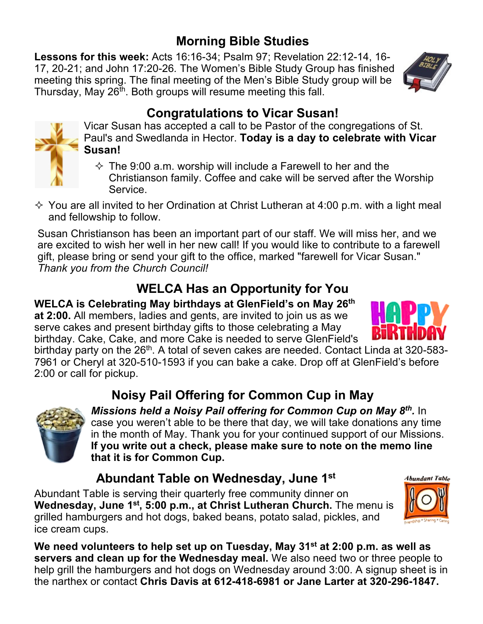# **Morning Bible Studies**

**Lessons for this week:** Acts 16:16-34; Psalm 97; Revelation 22:12-14, 16- 17, 20-21; and John 17:20-26*.* The Women's Bible Study Group has finished meeting this spring. The final meeting of the Men's Bible Study group will be Thursday, May  $26<sup>th</sup>$ . Both groups will resume meeting this fall.



# **Congratulations to Vicar Susan!**



Vicar Susan has accepted a call to be Pastor of the congregations of St. Paul's and Swedlanda in Hector. **Today is a day to celebrate with Vicar Susan!**

- $\Diamond$  The 9:00 a.m. worship will include a Farewell to her and the Christianson family. Coffee and cake will be served after the Worship Service.
- $\Diamond$  You are all invited to her Ordination at Christ Lutheran at 4:00 p.m. with a light meal and fellowship to follow.

Susan Christianson has been an important part of our staff. We will miss her, and we are excited to wish her well in her new call! If you would like to contribute to a farewell gift, please bring or send your gift to the office, marked "farewell for Vicar Susan." *Thank you from the Church Council!* 

# **WELCA Has an Opportunity for You**

**WELCA is Celebrating May birthdays at GlenField's on May 26th at 2:00.** All members, ladies and gents, are invited to join us as we serve cakes and present birthday gifts to those celebrating a May birthday. Cake, Cake, and more Cake is needed to serve GlenField's



birthday party on the 26<sup>th</sup>. A total of seven cakes are needed. Contact Linda at 320-583-7961 or Cheryl at 320-510-1593 if you can bake a cake. Drop off at GlenField's before 2:00 or call for pickup.

# **Noisy Pail Offering for Common Cup in May**



*Missions held a Noisy Pail offering for Common Cup on May 8th.* In case you weren't able to be there that day, we will take donations any time in the month of May. Thank you for your continued support of our Missions. **If you write out a check, please make sure to note on the memo line that it is for Common Cup.**

# **Abundant Table on Wednesday, June 1st**

Abundant Table is serving their quarterly free community dinner on **Wednesday, June 1<sup>st</sup>, 5:00 p.m., at Christ Lutheran Church.** The menu is grilled hamburgers and hot dogs, baked beans, potato salad, pickles, and ice cream cups.

**We need volunteers to help set up on Tuesday, May 31st at 2:00 p.m. as well as servers and clean up for the Wednesday meal.** We also need two or three people to help grill the hamburgers and hot dogs on Wednesday around 3:00. A signup sheet is in the narthex or contact **Chris Davis at 612-418-6981 or Jane Larter at 320-296-1847.**